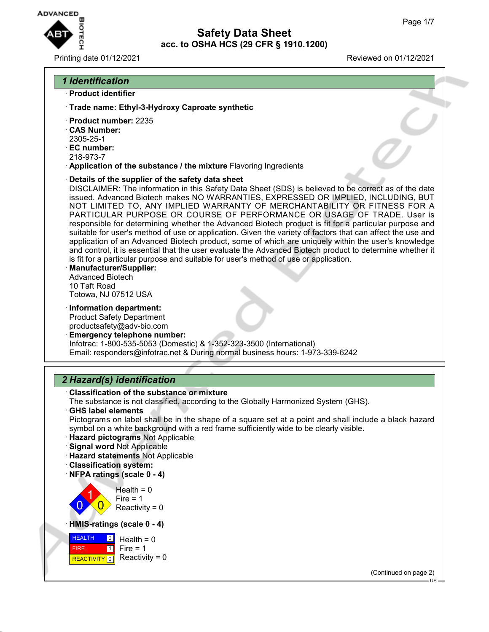

### Printing date 01/12/2021 Reviewed on 01/12/2021

## *1 Identification*

- · **Product identifier**
- · **Trade name: Ethyl-3-Hydroxy Caproate synthetic**
- · **Product number:** 2235
- · **CAS Number:**
- 2305-25-1
- · **EC number:**
- 218-973-7
- · **Application of the substance / the mixture** Flavoring Ingredients
- · **Details of the supplier of the safety data sheet**

DISCLAIMER: The information in this Safety Data Sheet (SDS) is believed to be correct as of the date issued. Advanced Biotech makes NO WARRANTIES, EXPRESSED OR IMPLIED, INCLUDING, BUT NOT LIMITED TO, ANY IMPLIED WARRANTY OF MERCHANTABILITY OR FITNESS FOR A PARTICULAR PURPOSE OR COURSE OF PERFORMANCE OR USAGE OF TRADE. User is responsible for determining whether the Advanced Biotech product is fit for a particular purpose and suitable for user's method of use or application. Given the variety of factors that can affect the use and application of an Advanced Biotech product, some of which are uniquely within the user's knowledge and control, it is essential that the user evaluate the Advanced Biotech product to determine whether it is fit for a particular purpose and suitable for user's method of use or application.

- · **Manufacturer/Supplier:** Advanced Biotech 10 Taft Road Totowa, NJ 07512 USA
- · **Information department:** Product Safety Department productsafety@adv-bio.com
- · **Emergency telephone number:** Infotrac: 1-800-535-5053 (Domestic) & 1-352-323-3500 (International) Email: responders@infotrac.net & During normal business hours: 1-973-339-6242

## *2 Hazard(s) identification*

· **Classification of the substance or mixture**

The substance is not classified, according to the Globally Harmonized System (GHS).

- · **GHS label elements** Pictograms on label shall be in the shape of a square set at a point and shall include a black hazard symbol on a white background with a red frame sufficiently wide to be clearly visible.
- · **Hazard pictograms** Not Applicable
- · **Signal word** Not Applicable
- · **Hazard statements** Not Applicable
- · **Classification system:**
- · **NFPA ratings (scale 0 4)**



· **HMIS-ratings (scale 0 - 4)**



(Continued on page 2)

 $H.S$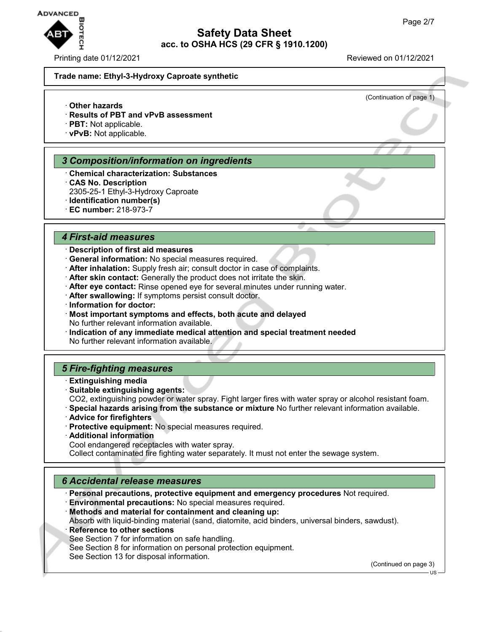

Printing date 01/12/2021 **Reviewed on 01/12/2021** 

(Continuation of page 1)

#### **Trade name: Ethyl-3-Hydroxy Caproate synthetic**

- · **Other hazards**
- · **Results of PBT and vPvB assessment**
- · **PBT:** Not applicable.
- · **vPvB:** Not applicable.

#### *3 Composition/information on ingredients*

- · **Chemical characterization: Substances**
- · **CAS No. Description**
- 2305-25-1 Ethyl-3-Hydroxy Caproate
- · **Identification number(s)**
- · **EC number:** 218-973-7

#### *4 First-aid measures*

## · **Description of first aid measures**

- · **General information:** No special measures required.
- · **After inhalation:** Supply fresh air; consult doctor in case of complaints.
- · **After skin contact:** Generally the product does not irritate the skin.
- · **After eye contact:** Rinse opened eye for several minutes under running water.
- · **After swallowing:** If symptoms persist consult doctor.
- · **Information for doctor:**
- · **Most important symptoms and effects, both acute and delayed** No further relevant information available.
- · **Indication of any immediate medical attention and special treatment needed** No further relevant information available.

## *5 Fire-fighting measures*

- · **Extinguishing media**
- · **Suitable extinguishing agents:**
- CO2, extinguishing powder or water spray. Fight larger fires with water spray or alcohol resistant foam.
- · **Special hazards arising from the substance or mixture** No further relevant information available.
- · **Advice for firefighters**
- · **Protective equipment:** No special measures required.
- · **Additional information**
- Cool endangered receptacles with water spray.
- Collect contaminated fire fighting water separately. It must not enter the sewage system.

### *6 Accidental release measures*

· **Personal precautions, protective equipment and emergency procedures** Not required.

- · **Environmental precautions:** No special measures required.
- · **Methods and material for containment and cleaning up:**

Absorb with liquid-binding material (sand, diatomite, acid binders, universal binders, sawdust).

**Reference to other sections** 

See Section 7 for information on safe handling.

See Section 8 for information on personal protection equipment.

See Section 13 for disposal information.

(Continued on page 3)

US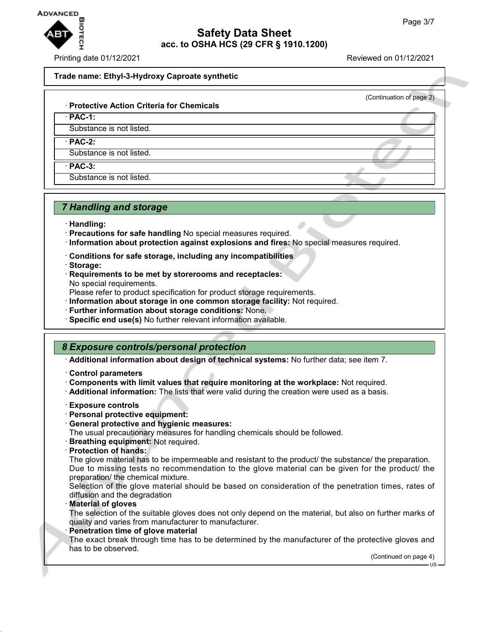

Printing date 01/12/2021 Reviewed on 01/12/2021

(Continuation of page 2)

#### **Trade name: Ethyl-3-Hydroxy Caproate synthetic**

#### · **Protective Action Criteria for Chemicals**

· **PAC-1:**

Substance is not listed.

· **PAC-2:**

Substance is not listed.

· **PAC-3:**

Substance is not listed.

## *7 Handling and storage*

- · **Handling:**
- · **Precautions for safe handling** No special measures required.
- · **Information about protection against explosions and fires:** No special measures required.
- · **Conditions for safe storage, including any incompatibilities**
- · **Storage:**
- · **Requirements to be met by storerooms and receptacles:** No special requirements.

Please refer to product specification for product storage requirements.

- · **Information about storage in one common storage facility:** Not required.
- · **Further information about storage conditions:** None.
- · **Specific end use(s)** No further relevant information available.

## *8 Exposure controls/personal protection*

· **Additional information about design of technical systems:** No further data; see item 7.

- · **Control parameters**
- · **Components with limit values that require monitoring at the workplace:** Not required.
- · **Additional information:** The lists that were valid during the creation were used as a basis.
- · **Exposure controls**
- · **Personal protective equipment:**
- · **General protective and hygienic measures:**

The usual precautionary measures for handling chemicals should be followed.

- · **Breathing equipment:** Not required.
- · **Protection of hands:**

The glove material has to be impermeable and resistant to the product/ the substance/ the preparation. Due to missing tests no recommendation to the glove material can be given for the product/ the preparation/ the chemical mixture.

Selection of the glove material should be based on consideration of the penetration times, rates of diffusion and the degradation

· **Material of gloves**

The selection of the suitable gloves does not only depend on the material, but also on further marks of quality and varies from manufacturer to manufacturer.

**Penetration time of glove material** 

The exact break through time has to be determined by the manufacturer of the protective gloves and has to be observed.

(Continued on page 4)

US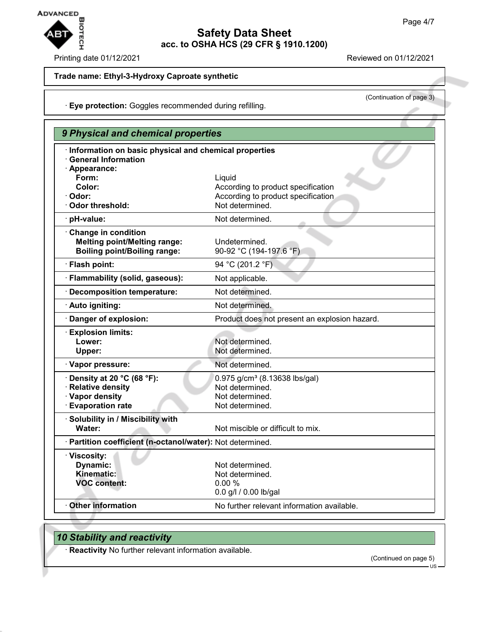

### Printing date 01/12/2021 Reviewed on 01/12/2021

(Continuation of page 3)

## **Trade name: Ethyl-3-Hydroxy Caproate synthetic**

· **Eye protection:** Goggles recommended during refilling.

|                                                                                                        | 9 Physical and chemical properties            |  |  |
|--------------------------------------------------------------------------------------------------------|-----------------------------------------------|--|--|
| · Information on basic physical and chemical properties<br><b>General Information</b><br>· Appearance: |                                               |  |  |
| Form:                                                                                                  | Liquid                                        |  |  |
| Color:                                                                                                 | According to product specification            |  |  |
| · Odor:                                                                                                | According to product specification            |  |  |
| Odor threshold:                                                                                        | Not determined.                               |  |  |
| · pH-value:                                                                                            | Not determined.                               |  |  |
| Change in condition<br><b>Melting point/Melting range:</b><br><b>Boiling point/Boiling range:</b>      | Undetermined.<br>90-92 °C (194-197.6 °F)      |  |  |
| · Flash point:                                                                                         | 94 °C (201.2 °F)                              |  |  |
| · Flammability (solid, gaseous):                                                                       | Not applicable.                               |  |  |
| · Decomposition temperature:                                                                           | Not determined.                               |  |  |
| · Auto igniting:                                                                                       | Not determined.                               |  |  |
| Danger of explosion:                                                                                   | Product does not present an explosion hazard. |  |  |
| <b>Explosion limits:</b><br>Lower:                                                                     | Not determined.                               |  |  |
| Upper:                                                                                                 | Not determined.                               |  |  |
| · Vapor pressure:                                                                                      | Not determined.                               |  |  |
| $\cdot$ Density at 20 °C (68 °F):                                                                      | 0.975 g/cm <sup>3</sup> (8.13638 lbs/gal)     |  |  |
| · Relative density                                                                                     | Not determined.                               |  |  |
| · Vapor density                                                                                        | Not determined.                               |  |  |
| <b>Evaporation rate</b>                                                                                | Not determined.                               |  |  |
| · Solubility in / Miscibility with<br>Water:                                                           | Not miscible or difficult to mix.             |  |  |
| · Partition coefficient (n-octanol/water): Not determined.                                             |                                               |  |  |
| · Viscosity:                                                                                           |                                               |  |  |
| Dynamic:                                                                                               | Not determined.                               |  |  |
| Kinematic:                                                                                             | Not determined.                               |  |  |
| <b>VOC content:</b>                                                                                    | 0.00%                                         |  |  |
|                                                                                                        | 0.0 g/l / 0.00 lb/gal                         |  |  |
| <b>Other information</b>                                                                               | No further relevant information available.    |  |  |
|                                                                                                        |                                               |  |  |

# *10 Stability and reactivity*

· **Reactivity** No further relevant information available.

(Continued on page 5)

US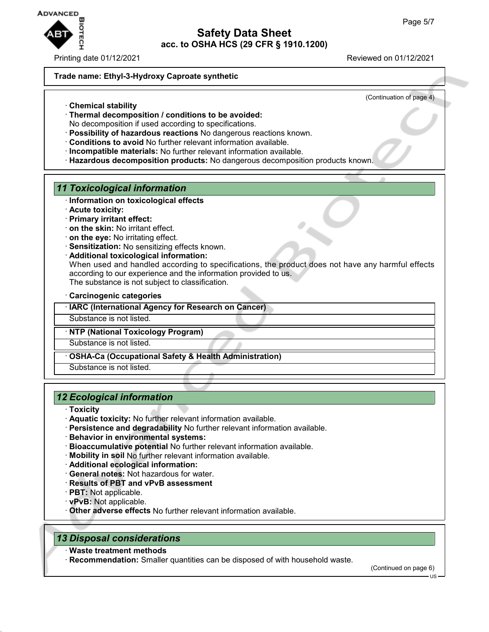

### Printing date 01/12/2021 Reviewed on 01/12/2021

#### **Trade name: Ethyl-3-Hydroxy Caproate synthetic**

(Continuation of page 4)

- · **Chemical stability**
- · **Thermal decomposition / conditions to be avoided:**
- No decomposition if used according to specifications.
- · **Possibility of hazardous reactions** No dangerous reactions known.
- · **Conditions to avoid** No further relevant information available.
- · **Incompatible materials:** No further relevant information available.
- · **Hazardous decomposition products:** No dangerous decomposition products known.

## *11 Toxicological information*

- · **Information on toxicological effects**
- · **Acute toxicity:**
- · **Primary irritant effect:**
- · **on the skin:** No irritant effect.
- · **on the eye:** No irritating effect.
- · **Sensitization:** No sensitizing effects known.
- · **Additional toxicological information:**

When used and handled according to specifications, the product does not have any harmful effects according to our experience and the information provided to us. The substance is not subject to classification.

· **Carcinogenic categories**

· **IARC (International Agency for Research on Cancer)**

Substance is not listed.

### · **NTP (National Toxicology Program)**

Substance is not listed.

· **OSHA-Ca (Occupational Safety & Health Administration)**

Substance is not listed.

## *12 Ecological information*

- · **Toxicity**
- · **Aquatic toxicity:** No further relevant information available.
- · **Persistence and degradability** No further relevant information available.
- · **Behavior in environmental systems:**
- · **Bioaccumulative potential** No further relevant information available.
- · **Mobility in soil** No further relevant information available.
- · **Additional ecological information:**
- · **General notes:** Not hazardous for water.
- · **Results of PBT and vPvB assessment**
- · **PBT:** Not applicable.
- · **vPvB:** Not applicable.
- · **Other adverse effects** No further relevant information available.

## *13 Disposal considerations*

- · **Waste treatment methods**
- · **Recommendation:** Smaller quantities can be disposed of with household waste.

(Continued on page 6)

US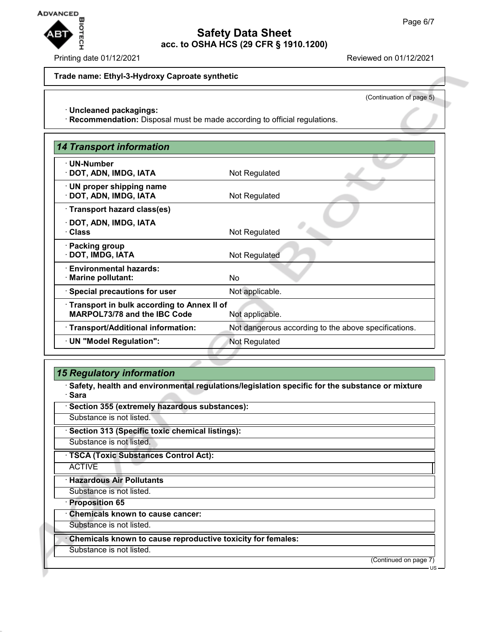

### Printing date 01/12/2021 Reviewed on 01/12/2021

#### **Trade name: Ethyl-3-Hydroxy Caproate synthetic**

(Continuation of page 5)

#### · **Uncleaned packagings:**

· **Recommendation:** Disposal must be made according to official regulations.

| <b>14 Transport information</b>                           |                                                      |  |
|-----------------------------------------------------------|------------------------------------------------------|--|
| · UN-Number<br>· DOT, ADN, IMDG, IATA                     | Not Regulated                                        |  |
|                                                           |                                                      |  |
| $\cdot$ UN proper shipping name<br>· DOT, ADN, IMDG, IATA | Not Regulated                                        |  |
| · Transport hazard class(es)                              |                                                      |  |
| · DOT, ADN, IMDG, IATA<br>· Class                         | Not Regulated                                        |  |
| · Packing group<br>· DOT, IMDG, IATA                      | Not Regulated                                        |  |
| · Environmental hazards:<br>· Marine pollutant:           | No.                                                  |  |
| · Special precautions for user                            | Not applicable.                                      |  |
| · Transport in bulk according to Annex II of              |                                                      |  |
| MARPOL73/78 and the IBC Code                              | Not applicable.                                      |  |
| · Transport/Additional information:                       | Not dangerous according to the above specifications. |  |
| · UN "Model Regulation":                                  | Not Regulated                                        |  |

## *15 Regulatory information*

· **Safety, health and environmental regulations/legislation specific for the substance or mixture** · **Sara**

· **Section 355 (extremely hazardous substances):**

Substance is not listed.

· **Section 313 (Specific toxic chemical listings):**

Substance is not listed.

· **TSCA (Toxic Substances Control Act):**

**ACTIVE** 

· **Hazardous Air Pollutants**

Substance is not listed.

· **Proposition 65**

· **Chemicals known to cause cancer:**

Substance is not listed.

· **Chemicals known to cause reproductive toxicity for females:**

Substance is not listed.

(Continued on page 7)

US